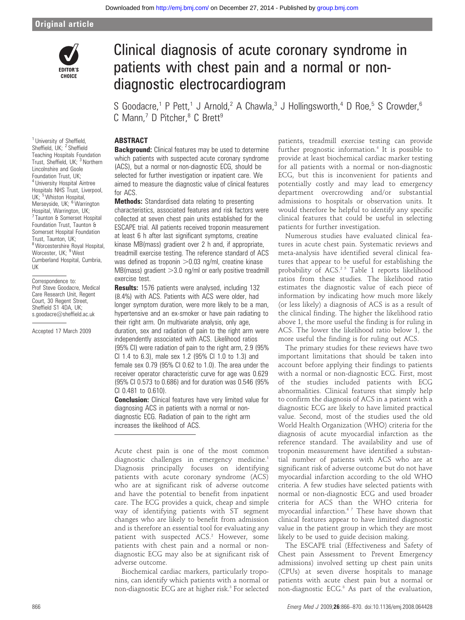### Original article



# Clinical diagnosis of acute coronary syndrome in patients with chest pain and a normal or nondiagnostic electrocardiogram

S Goodacre,<sup>1</sup> P Pett,<sup>1</sup> J Arnold,<sup>2</sup> A Chawla,<sup>3</sup> J Hollingsworth,<sup>4</sup> D Roe,<sup>5</sup> S Crowder,<sup>6</sup> C Mann,<sup>7</sup> D Pitcher,<sup>8</sup> C Brett<sup>9</sup>

## **ABSTRACT**

**Background:** Clinical features may be used to determine which patients with suspected acute coronary syndrome (ACS), but a normal or non-diagnostic ECG, should be selected for further investigation or inpatient care. We aimed to measure the diagnostic value of clinical features for ACS.

**Methods:** Standardised data relating to presenting characteristics, associated features and risk factors were collected at seven chest pain units established for the ESCAPE trial. All patients received troponin measurement at least 6 h after last significant symptoms, creatine kinase MB(mass) gradient over 2 h and, if appropriate, treadmill exercise testing. The reference standard of ACS was defined as troponin  $>$  0.03 ng/ml, creatine kinase MB(mass) gradient  $>3.0$  ng/ml or early positive treadmill exercise test.

Results: 1576 patients were analysed, including 132 (8.4%) with ACS. Patients with ACS were older, had longer symptom duration, were more likely to be a man, hypertensive and an ex-smoker or have pain radiating to their right arm. On multivariate analysis, only age, duration, sex and radiation of pain to the right arm were independently associated with ACS. Likelihood ratios (95% CI) were radiation of pain to the right arm, 2.9 (95% CI 1.4 to 6.3), male sex 1.2 (95% CI 1.0 to 1.3) and female sex 0.79 (95% CI 0.62 to 1.0). The area under the receiver operator characteristic curve for age was 0.629 (95% CI 0.573 to 0.686) and for duration was 0.546 (95% CI 0.481 to 0.610).

**Conclusion:** Clinical features have very limited value for diagnosing ACS in patients with a normal or nondiagnostic ECG. Radiation of pain to the right arm increases the likelihood of ACS.

Acute chest pain is one of the most common diagnostic challenges in emergency medicine.<sup>1</sup> Diagnosis principally focuses on identifying patients with acute coronary syndrome (ACS) who are at significant risk of adverse outcome and have the potential to benefit from inpatient care. The ECG provides a quick, cheap and simple way of identifying patients with ST segment changes who are likely to benefit from admission and is therefore an essential tool for evaluating any patient with suspected ACS.<sup>2</sup> However, some patients with chest pain and a normal or nondiagnostic ECG may also be at significant risk of adverse outcome.

Biochemical cardiac markers, particularly troponins, can identify which patients with a normal or non-diagnostic ECG are at higher risk.<sup>3</sup> For selected

patients, treadmill exercise testing can provide further prognostic information.<sup>4</sup> It is possible to provide at least biochemical cardiac marker testing for all patients with a normal or non-diagnostic ECG, but this is inconvenient for patients and potentially costly and may lead to emergency department overcrowding and/or substantial admissions to hospitals or observation units. It would therefore be helpful to identify any specific clinical features that could be useful in selecting patients for further investigation.

Numerous studies have evaluated clinical features in acute chest pain. Systematic reviews and meta-analysis have identified several clinical features that appear to be useful for establishing the probability of ACS.<sup>25</sup> Table 1 reports likelihood ratios from these studies. The likelihood ratio estimates the diagnostic value of each piece of information by indicating how much more likely (or less likely) a diagnosis of ACS is as a result of the clinical finding. The higher the likelihood ratio above 1, the more useful the finding is for ruling in ACS. The lower the likelihood ratio below 1, the more useful the finding is for ruling out ACS.

The primary studies for these reviews have two important limitations that should be taken into account before applying their findings to patients with a normal or non-diagnostic ECG. First, most of the studies included patients with ECG abnormalities. Clinical features that simply help to confirm the diagnosis of ACS in a patient with a diagnostic ECG are likely to have limited practical value. Second, most of the studies used the old World Health Organization (WHO) criteria for the diagnosis of acute myocardial infarction as the reference standard. The availability and use of troponin measurement have identified a substantial number of patients with ACS who are at significant risk of adverse outcome but do not have myocardial infarction according to the old WHO criteria. A few studies have selected patients with normal or non-diagnostic ECG and used broader criteria for ACS than the WHO criteria for myocardial infarction.6 7 These have shown that clinical features appear to have limited diagnostic value in the patient group in which they are most likely to be used to guide decision making.

The ESCAPE trial (Effectiveness and Safety of Chest pain Assessment to Prevent Emergency admissions) involved setting up chest pain units (CPUs) at seven diverse hospitals to manage patients with acute chest pain but a normal or non-diagnostic ECG.8 As part of the evaluation,

<sup>1</sup> University of Sheffield, Sheffield, UK; <sup>2</sup> Sheffield Teaching Hospitals Foundation Trust, Sheffield, UK; <sup>3</sup> Northern Lincolnshire and Goole Foundation Trust, UK; <sup>4</sup> University Hospital Aintree Hospitals NHS Trust, Liverpool, UK; <sup>5</sup> Whiston Hospital, Merseyside, UK; <sup>6</sup> Warrington Hospital, Warrington, UK; <sup>7</sup> Taunton & Somerset Hospital Foundation Trust, Taunton & Somerset Hospital Foundation Trust, Taunton, UK; <sup>8</sup> Worcestershire Royal Hospital, Worcester, UK; <sup>9</sup> West Cumberland Hospital, Cumbria, UK

Correspondence to: Prof Steve Goodacre, Medical Care Research Unit, Regent Court, 30 Regent Street, Sheffield S1 4DA, UK; s.goodacre@sheffield.ac.uk

Accepted 17 March 2009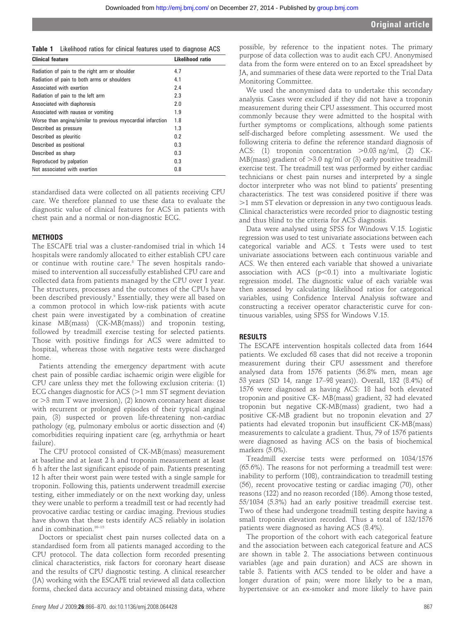Table 1 Likelihood ratios for clinical features used to diagnose ACS

| <b>Clinical feature</b>                                     | Likelihood ratio |
|-------------------------------------------------------------|------------------|
| Radiation of pain to the right arm or shoulder              | 4.7              |
| Radiation of pain to both arms or shoulders                 | 4.1              |
| Associated with exertion                                    | 2.4              |
| Radiation of pain to the left arm                           | 2.3              |
| Associated with diaphoresis                                 | 2.0              |
| Associated with nausea or vomiting                          | 1.9              |
| Worse than angina/similar to previous myocardial infarction | 1.8              |
| Described as pressure                                       | 1.3              |
| Described as pleuritic                                      | 0.2              |
| Described as positional                                     | 0.3              |
| Described as sharp                                          | 0.3              |
| Reproduced by palpation                                     | 0.3              |
| Not associated with exertion                                | 0.8              |

standardised data were collected on all patients receiving CPU care. We therefore planned to use these data to evaluate the diagnostic value of clinical features for ACS in patients with chest pain and a normal or non-diagnostic ECG.

#### **METHODS**

The ESCAPE trial was a cluster-randomised trial in which 14 hospitals were randomly allocated to either establish CPU care or continue with routine care.8 The seven hospitals randomised to intervention all successfully established CPU care and collected data from patients managed by the CPU over 1 year. The structures, processes and the outcomes of the CPUs have been described previously.<sup>9</sup> Essentially, they were all based on a common protocol in which low-risk patients with acute chest pain were investigated by a combination of creatine kinase MB(mass) (CK-MB(mass)) and troponin testing, followed by treadmill exercise testing for selected patients. Those with positive findings for ACS were admitted to hospital, whereas those with negative tests were discharged home.

Patients attending the emergency department with acute chest pain of possible cardiac ischaemic origin were eligible for CPU care unless they met the following exclusion criteria: (1) ECG changes diagnostic for ACS ( $>1$  mm ST segment deviation or  $>$ 3 mm T wave inversion), (2) known coronary heart disease with recurrent or prolonged episodes of their typical anginal pain, (3) suspected or proven life-threatening non-cardiac pathology (eg, pulmonary embolus or aortic dissection and (4) comorbidities requiring inpatient care (eg, arrhythmia or heart failure).

The CPU protocol consisted of CK-MB(mass) measurement at baseline and at least 2 h and troponin measurement at least 6 h after the last significant episode of pain. Patients presenting 12 h after their worst pain were tested with a single sample for troponin. Following this, patients underwent treadmill exercise testing, either immediately or on the next working day, unless they were unable to perform a treadmill test or had recently had provocative cardiac testing or cardiac imaging. Previous studies have shown that these tests identify ACS reliably in isolation and in combination.<sup>10-15</sup>

Doctors or specialist chest pain nurses collected data on a standardised form from all patients managed according to the CPU protocol. The data collection form recorded presenting clinical characteristics, risk factors for coronary heart disease and the results of CPU diagnostic testing. A clinical researcher (JA) working with the ESCAPE trial reviewed all data collection forms, checked data accuracy and obtained missing data, where

possible, by reference to the inpatient notes. The primary purpose of data collection was to audit each CPU. Anonymised data from the form were entered on to an Excel spreadsheet by JA, and summaries of these data were reported to the Trial Data Monitoring Committee.

We used the anonymised data to undertake this secondary analysis. Cases were excluded if they did not have a troponin measurement during their CPU assessment. This occurred most commonly because they were admitted to the hospital with further symptoms or complications, although some patients self-discharged before completing assessment. We used the following criteria to define the reference standard diagnosis of ACS: (1) troponin concentration  $>0.03$  ng/ml, (2) CK-MB(mass) gradient of  $>3.0$  ng/ml or (3) early positive treadmill exercise test. The treadmill test was performed by either cardiac technicians or chest pain nurses and interpreted by a single doctor interpreter who was not blind to patients' presenting characteristics. The test was considered positive if there was .1 mm ST elevation or depression in any two contiguous leads. Clinical characteristics were recorded prior to diagnostic testing and thus blind to the criteria for ACS diagnosis.

Data were analysed using SPSS for Windows V.15. Logistic regression was used to test univariate associations between each categorical variable and ACS. t Tests were used to test univariate associations between each continuous variable and ACS. We then entered each variable that showed a univariate association with ACS ( $p$ <0.1) into a multivariate logistic regression model. The diagnostic value of each variable was then assessed by calculating likelihood ratios for categorical variables, using Confidence Interval Analysis software and constructing a receiver operator characteristic curve for continuous variables, using SPSS for Windows V.15.

#### RESULTS

The ESCAPE intervention hospitals collected data from 1644 patients. We excluded 68 cases that did not receive a troponin measurement during their CPU assessment and therefore analysed data from 1576 patients (56.8% men, mean age 53 years (SD 14, range 17–98 years)). Overall, 132 (8.4%) of 1576 were diagnosed as having ACS: 18 had both elevated troponin and positive CK- MB(mass) gradient, 32 had elevated troponin but negative CK-MB(mass) gradient, two had a positive CK-MB gradient but no troponin elevation and 27 patients had elevated troponin but insufficient CK-MB(mass) measurements to calculate a gradient. Thus, 79 of 1576 patients were diagnosed as having ACS on the basis of biochemical markers (5.0%).

Treadmill exercise tests were performed on 1034/1576 (65.6%). The reasons for not performing a treadmill test were: inability to perform (108), contraindication to treadmill testing (56), recent provocative testing or cardiac imaging (70), other reasons (122) and no reason recorded (186). Among those tested, 55/1034 (5.3%) had an early positive treadmill exercise test. Two of these had undergone treadmill testing despite having a small troponin elevation recorded. Thus a total of 132/1576 patients were diagnosed as having ACS (8.4%).

The proportion of the cohort with each categorical feature and the association between each categorical feature and ACS are shown in table 2. The associations between continuous variables (age and pain duration) and ACS are shown in table 3. Patients with ACS tended to be older and have a longer duration of pain; were more likely to be a man, hypertensive or an ex-smoker and more likely to have pain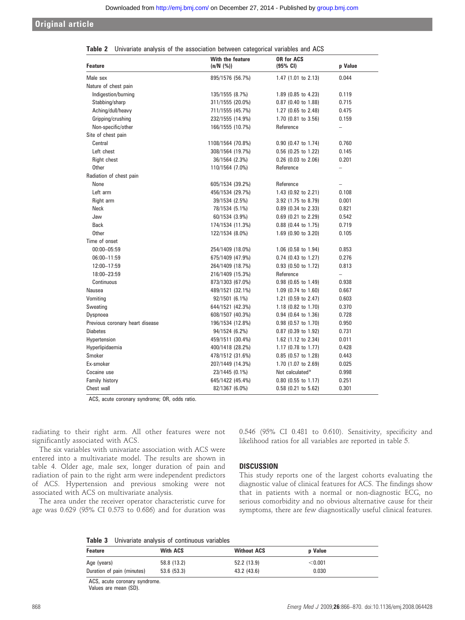### Original article

| <b>Feature</b>                  | With the feature<br>(n/N (%)) | <b>OR for ACS</b><br>(95% CI)  | p Value                  |
|---------------------------------|-------------------------------|--------------------------------|--------------------------|
| Male sex                        | 895/1576 (56.7%)              | 1.47 $(1.01$ to 2.13)          | 0.044                    |
| Nature of chest pain            |                               |                                |                          |
| Indigestion/burning             | 135/1555 (8.7%)               | 1.89 (0.85 to 4.23)            | 0.119                    |
| Stabbing/sharp                  | 311/1555 (20.0%)              | $0.87$ (0.40 to 1.88)          | 0.715                    |
| Aching/dull/heavy               | 711/1555 (45.7%)              | $1.27$ (0.65 to 2.48)          | 0.475                    |
| Gripping/crushing               | 232/1555 (14.9%)              | 1.70 (0.81 to 3.56)            | 0.159                    |
| Non-specific/other              | 166/1555 (10.7%)              | Reference                      | $\overline{\phantom{0}}$ |
| Site of chest pain              |                               |                                |                          |
| Central                         | 1108/1564 (70.8%)             | $0.90$ (0.47 to 1.74)          | 0.760                    |
| Left chest                      | 308/1564 (19.7%)              | 0.56 (0.25 to 1.22)            | 0.145                    |
| Right chest                     | 36/1564 (2.3%)                | $0.26$ (0.03 to 2.06)          | 0.201                    |
| <b>Other</b>                    | 110/1564 (7.0%)               | Reference                      | $\overline{\phantom{0}}$ |
| Radiation of chest pain         |                               |                                |                          |
| None                            | 605/1534 (39.2%)              | Reference                      |                          |
| Left arm                        | 456/1534 (29.7%)              | 1.43 (0.92 to 2.21)            | 0.108                    |
| Right arm                       | 39/1534 (2.5%)                | 3.92 (1.75 to 8.79)            | 0.001                    |
| <b>Neck</b>                     | 78/1534 (5.1%)                | $0.89$ (0.34 to 2.33)          | 0.821                    |
| Jaw                             | 60/1534 (3.9%)                | $0.69$ (0.21 to 2.29)          | 0.542                    |
| <b>Back</b>                     | 174/1534 (11.3%)              | $0.88$ (0.44 to 1.75)          | 0.719                    |
| <b>Other</b>                    | 122/1534 (8.0%)               | 1.69 (0.90 to 3.20)            | 0.105                    |
| Time of onset                   |                               |                                |                          |
| 00:00-05:59                     | 254/1409 (18.0%)              | $1.06$ (0.58 to 1.94)          | 0.853                    |
| 06:00-11:59                     | 675/1409 (47.9%)              | 0.74 (0.43 to 1.27)            | 0.276                    |
| 12:00-17:59                     | 264/1409 (18.7%)              | 0.93 (0.50 to 1.72)            | 0.813                    |
| 18:00-23:59                     | 216/1409 (15.3%)              | Reference                      | $\overline{\phantom{0}}$ |
| Continuous                      | 873/1303 (67.0%)              | $0.98$ (0.65 to 1.49)          | 0.938                    |
| Nausea                          | 489/1521 (32.1%)              | 1.09 (0.74 to 1.60)            | 0.667                    |
| Vomiting                        | 92/1501 (6.1%)                | 1.21 $(0.59$ to 2.47)          | 0.603                    |
| Sweating                        | 644/1521 (42.3%)              | 1.18 $(0.82 \text{ to } 1.70)$ | 0.370                    |
| Dyspnoea                        | 608/1507 (40.3%)              | $0.94$ (0.64 to 1.36)          | 0.728                    |
| Previous coronary heart disease | 196/1534 (12.8%)              | $0.98$ (0.57 to 1.70)          | 0.950                    |
| <b>Diabetes</b>                 | 94/1524 (6.2%)                | $0.87$ (0.39 to 1.92)          | 0.731                    |
| Hypertension                    | 459/1511 (30.4%)              | 1.62 $(1.12 \text{ to } 2.34)$ | 0.011                    |
| Hyperlipidaemia                 | 400/1418 (28.2%)              | 1.17 (0.78 to 1.77)            | 0.428                    |
| Smoker                          | 478/1512 (31.6%)              | $0.85$ (0.57 to 1.28)          | 0.443                    |
| Ex-smoker                       | 207/1449 (14.3%)              | 1.70 (1.07 to 2.69)            | 0.025                    |
| Cocaine use                     | 23/1445 (0.1%)                | Not calculated*                | 0.998                    |
| <b>Family history</b>           | 645/1422 (45.4%)              | $0.80$ (0.55 to 1.17)          | 0.251                    |
| Chest wall                      | 82/1367 (6.0%)                | 0.58 (0.21 to 5.62)            | 0.301                    |

|  |  |  |  |  | <b>Table 2</b> Univariate analysis of the association between categorical variables and ACS |  |  |  |  |  |  |
|--|--|--|--|--|---------------------------------------------------------------------------------------------|--|--|--|--|--|--|
|--|--|--|--|--|---------------------------------------------------------------------------------------------|--|--|--|--|--|--|

ACS, acute coronary syndrome; OR, odds ratio.

radiating to their right arm. All other features were not significantly associated with ACS.

The six variables with univariate association with ACS were entered into a multivariate model. The results are shown in table 4. Older age, male sex, longer duration of pain and radiation of pain to the right arm were independent predictors of ACS. Hypertension and previous smoking were not associated with ACS on multivariate analysis.

The area under the receiver operator characteristic curve for age was 0.629 (95% CI 0.573 to 0.686) and for duration was 0.546 (95% CI 0.481 to 0.610). Sensitivity, specificity and likelihood ratios for all variables are reported in table 5.

### **DISCUSSION**

This study reports one of the largest cohorts evaluating the diagnostic value of clinical features for ACS. The findings show that in patients with a normal or non-diagnostic ECG, no serious comorbidity and no obvious alternative cause for their symptoms, there are few diagnostically useful clinical features.

Table 3 Univariate analysis of continuous variables

| Feature                    | <b>With ACS</b> | <b>Without ACS</b> | <b>p</b> Value |  |
|----------------------------|-----------------|--------------------|----------------|--|
| Age (years)                | 58.8 (13.2)     | 52.2 (13.9)        | $<$ 0.001 $\,$ |  |
| Duration of pain (minutes) | 53.6 (53.3)     | 43.2 (43.6)        | 0.030          |  |

ACS, acute coronary syndrome. Values are mean (SD).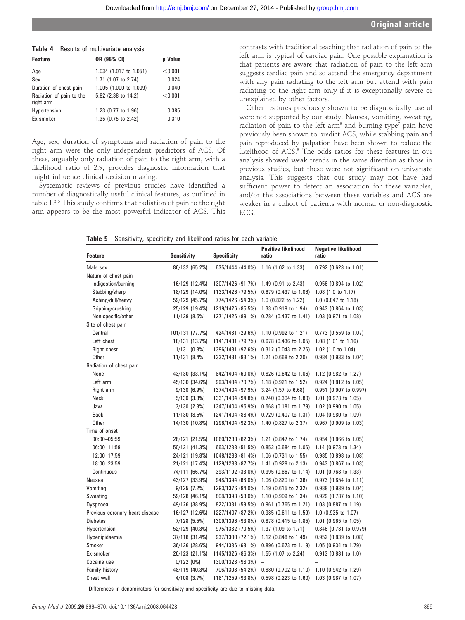| <b>Table +</b> Theodito of Inditivaliate analysis |         |  |  |  |
|---------------------------------------------------|---------|--|--|--|
| OR (95% CI)                                       | p Value |  |  |  |
| 1.034 (1.017 to 1.051)                            | < 0.001 |  |  |  |
| 1.71 (1.07 to 2.74)                               | 0.024   |  |  |  |
| 1.005 (1.000 to 1.009)                            | 0.040   |  |  |  |
| 5.82 (2.38 to 14.2)                               | < 0.001 |  |  |  |
| 1.23 (0.77 to 1.96)                               | 0.385   |  |  |  |
| 1.35 (0.75 to 2.42)                               | 0.310   |  |  |  |
|                                                   |         |  |  |  |

Table 4 Results of multivariate analysis

Age, sex, duration of symptoms and radiation of pain to the right arm were the only independent predictors of ACS. Of these, arguably only radiation of pain to the right arm, with a likelihood ratio of 2.9, provides diagnostic information that might influence clinical decision making.

Systematic reviews of previous studies have identified a number of diagnostically useful clinical features, as outlined in table 1.2 5 This study confirms that radiation of pain to the right arm appears to be the most powerful indicator of ACS. This

contrasts with traditional teaching that radiation of pain to the left arm is typical of cardiac pain. One possible explanation is that patients are aware that radiation of pain to the left arm suggests cardiac pain and so attend the emergency department with any pain radiating to the left arm but attend with pain radiating to the right arm only if it is exceptionally severe or unexplained by other factors.

Other features previously shown to be diagnostically useful were not supported by our study. Nausea, vomiting, sweating, radiation of pain to the left arm<sup>5</sup> and burning-type<sup>7</sup> pain have previously been shown to predict ACS, while stabbing pain and pain reproduced by palpation have been shown to reduce the likelihood of ACS.<sup>5</sup> The odds ratios for these features in our analysis showed weak trends in the same direction as those in previous studies, but these were not significant on univariate analysis. This suggests that our study may not have had sufficient power to detect an association for these variables, and/or the associations between these variables and ACS are weaker in a cohort of patients with normal or non-diagnostic ECG.

|  | <b>Table 5</b> Sensitivity, specificity and likelihood ratios for each variable |  |  |  |  |  |  |  |
|--|---------------------------------------------------------------------------------|--|--|--|--|--|--|--|
|--|---------------------------------------------------------------------------------|--|--|--|--|--|--|--|

| <b>Feature</b>                  | <b>Sensitivity</b> | <b>Specificity</b> | <b>Positive likelihood</b><br>ratio | <b>Negative likelihood</b><br>ratio |
|---------------------------------|--------------------|--------------------|-------------------------------------|-------------------------------------|
| Male sex                        | 86/132 (65.2%)     | 635/1444 (44.0%)   | 1.16 (1.02 to 1.33)                 | 0.792 (0.623 to 1.01)               |
| Nature of chest pain            |                    |                    |                                     |                                     |
| Indigestion/burning             | 16/129 (12.4%)     | 1307/1426 (91.7%)  | 1.49 (0.91 to 2.43)                 | 0.956 (0.894 to 1.02)               |
| Stabbing/sharp                  | 18/129 (14.0%)     | 1133/1426 (79.5%)  | $0.679$ (0.437 to 1.06)             | $1.08$ (1.0 to 1.17)                |
| Aching/dull/heavy               | 59/129 (45.7%)     | 774/1426 (54.3%)   | 1.0 $(0.822$ to 1.22)               | 1.0 $(0.847$ to 1.18)               |
| Gripping/crushing               | 25/129 (19.4%)     | 1219/1426 (85.5%)  | $1.33$ (0.919 to 1.94)              | $0.943$ (0.864 to 1.03)             |
| Non-specific/other              | 11/129 (8.5%)      | 1271/1426 (89.1%)  | $0.784$ (0.437 to 1.41)             | $1.03$ (0.971 to 1.08)              |
| Site of chest pain              |                    |                    |                                     |                                     |
| Central                         | 101/131 (77.7%)    | 424/1431 (29.6%)   | 1.10 (0.992 to 1.21)                | 0.773 (0.559 to 1.07)               |
| Left chest                      | 18/131 (13.7%)     | 1141/1431 (79.7%)  | $0.678$ (0.436 to 1.05)             | 1.08 (1.01 to 1.16)                 |
| Right chest                     | $1/131(0.8\%)$     | 1396/1431 (97.6%)  | $0.312$ (0.043 to 2.26)             | 1.02 (1.0 to 1.04)                  |
| <b>Other</b>                    | 11/131 (8.4%)      | 1332/1431 (93.1%)  | 1.21 (0.668 to 2.20)                | 0.984 (0.933 to 1.04)               |
| Radiation of chest pain         |                    |                    |                                     |                                     |
| None                            | 43/130 (33.1%)     | 842/1404 (60.0%)   | $0.826$ (0.642 to 1.06)             | 1.12 (0.982 to 1.27)                |
| Left arm                        | 45/130 (34.6%)     | 993/1404 (70.7%)   | $1.18$ (0.921 to 1.52)              | $0.924$ (0.812 to 1.05)             |
| Right arm                       | 9/130(6.9%)        | 1374/1404 (97.9%)  | $3.24$ (1.57 to 6.68)               | $0.951$ (0.907 to 0.997)            |
| <b>Neck</b>                     | 5/130(3.8%)        | 1331/1404 (94.8%)  | $0.740$ (0.304 to 1.80)             | $1.01$ (0.978 to 1.05)              |
| Jaw                             | $3/130$ $(2.3%)$   | 1347/1404 (95.9%)  | $0.568$ (0.181 to 1.79)             | $1.02$ (0.990 to 1.05)              |
| <b>Back</b>                     | 11/130 (8.5%)      | 1241/1404 (88.4%)  | $0.729$ (0.407 to 1.31)             | 1.04 (0.980 to 1.09)                |
| <b>Other</b>                    | 14/130 (10.8%)     | 1296/1404 (92.3%)  | 1.40 (0.827 to 2.37)                | $0.967$ (0.909 to 1.03)             |
| Time of onset                   |                    |                    |                                     |                                     |
| $00:00 - 05:59$                 | 26/121 (21.5%)     | 1060/1288 (82.3%)  | 1.21 (0.847 to 1.74)                | $0.954$ (0.866 to 1.05)             |
| 06:00-11:59                     | 50/121 (41.3%)     | 663/1288 (51.5%)   | $0.852$ (0.684 to 1.06)             | $1.14$ (0.973 to 1.34)              |
| 12:00-17:59                     | 24/121 (19.8%)     | 1048/1288 (81.4%)  | $1.06$ (0.731 to 1.55)              | $0.985$ (0.898 to 1.08)             |
| 18:00-23:59                     | 21/121 (17.4%)     | 1129/1288 (87.7%)  | 1.41 (0.928 to 2.13)                | $0.943$ (0.867 to 1.03)             |
| Continuous                      | 74/111 (66.7%)     | 393/1192 (33.0%)   | $0.995$ (0.867 to 1.14)             | $1.01$ (0.768 to 1.33)              |
| Nausea                          | 43/127 (33.9%)     | 948/1394 (68.0%)   | 1.06 (0.820 to 1.36)                | 0.973 (0.854 to 1.11)               |
| Vomiting                        | 9/125(7.2%)        | 1293/1376 (94.0%)  | 1.19 (0.615 to 2.32)                | $0.988$ (0.939 to 1.04)             |
| Sweating                        | 59/128 (46.1%)     | 808/1393 (58.0%)   | 1.10 (0.909 to 1.34)                | $0.929$ (0.787 to 1.10)             |
| Dyspnoea                        | 49/126 (38.9%)     | 822/1381 (59.5%)   | $0.961$ (0.765 to 1.21)             | 1.03 (0.887 to 1.19)                |
| Previous coronary heart disease | 16/127 (12.6%)     | 1227/1407 (87.2%)  | $0.985$ (0.611 to 1.59)             | $1.0$ (0.935 to 1.07)               |
| <b>Diabetes</b>                 | 7/128(5.5%)        | 1309/1396 (93.8%)  | 0.878 (0.415 to 1.85)               | 1.01 (0.965 to 1.05)                |
| Hypertension                    | 52/129 (40.3%)     | 975/1382 (70.5%)   | 1.37 $(1.09 \text{ to } 1.71)$      | $0.846$ (0.731 to 0.979)            |
| Hyperlipidaemia                 | 37/118 (31.4%)     | 937/1300 (72.1%)   | 1.12 $(0.848 \text{ to } 1.49)$     | $0.952$ (0.839 to 1.08)             |
| Smoker                          | 36/126 (28.6%)     | 944/1386 (68.1%)   | $0.896$ (0.673 to 1.19)             | $1.05$ (0.934 to 1.79)              |
| Ex-smoker                       | 26/123 (21.1%)     | 1145/1326 (86.3%)  | $1.55$ (1.07 to 2.24)               | $0.913$ (0.831 to 1.0)              |
| Cocaine use                     | 0/122(0%)          | 1300/1323 (98.3%)  | $\overline{\phantom{0}}$            |                                     |
| Family history                  | 48/119 (40.3%)     | 706/1303 (54.2%)   | $0.880$ (0.702 to 1.10)             | 1.10 (0.942 to 1.29)                |
| Chest wall                      | $4/108$ $(3.7%)$   | 1181/1259 (93.8%)  | $0.598$ (0.223 to 1.60)             | 1.03 (0.987 to 1.07)                |

Differences in denominators for sensitivity and specificity are due to missing data.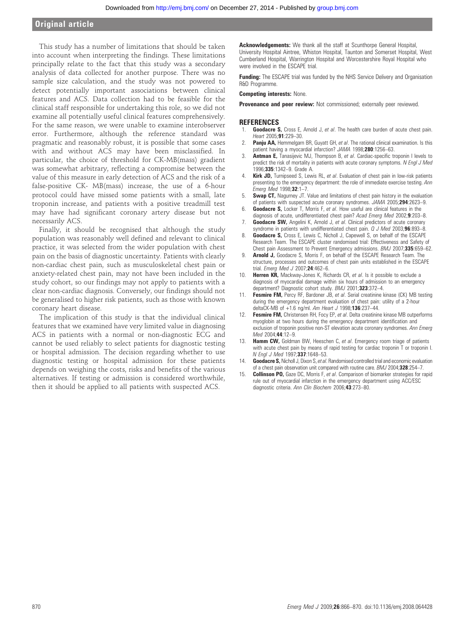# Original article

This study has a number of limitations that should be taken into account when interpreting the findings. These limitations principally relate to the fact that this study was a secondary analysis of data collected for another purpose. There was no sample size calculation, and the study was not powered to detect potentially important associations between clinical features and ACS. Data collection had to be feasible for the clinical staff responsible for undertaking this role, so we did not examine all potentially useful clinical features comprehensively. For the same reason, we were unable to examine interobserver error. Furthermore, although the reference standard was pragmatic and reasonably robust, it is possible that some cases with and without ACS may have been misclassified. In particular, the choice of threshold for CK-MB(mass) gradient was somewhat arbitrary, reflecting a compromise between the value of this measure in early detection of ACS and the risk of a false-positive CK- MB(mass) increase, the use of a 6-hour protocol could have missed some patients with a small, late troponin increase, and patients with a positive treadmill test may have had significant coronary artery disease but not necessarily ACS.

Finally, it should be recognised that although the study population was reasonably well defined and relevant to clinical practice, it was selected from the wider population with chest pain on the basis of diagnostic uncertainty. Patients with clearly non-cardiac chest pain, such as musculoskeletal chest pain or anxiety-related chest pain, may not have been included in the study cohort, so our findings may not apply to patients with a clear non-cardiac diagnosis. Conversely, our findings should not be generalised to higher risk patients, such as those with known coronary heart disease.

The implication of this study is that the individual clinical features that we examined have very limited value in diagnosing ACS in patients with a normal or non-diagnostic ECG and cannot be used reliably to select patients for diagnostic testing or hospital admission. The decision regarding whether to use diagnostic testing or hospital admission for these patients depends on weighing the costs, risks and benefits of the various alternatives. If testing or admission is considered worthwhile, then it should be applied to all patients with suspected ACS.

Acknowledgements: We thank all the staff at Scunthorpe General Hospital, University Hospital Aintree, Whiston Hospital, Taunton and Somerset Hospital, West Cumberland Hospital, Warrington Hospital and Worcestershire Royal Hospital who were involved in the ESCAPE trial.

**Funding:** The ESCAPE trial was funded by the NHS Service Delivery and Organisation R&D Programme.

#### Competing interests: None.

Provenance and peer review: Not commissioned; externally peer reviewed.

#### **REFERENCES**

- Goodacre S, Cross E, Arnold J, et al. The health care burden of acute chest pain. Heart 2005;91:229-30.
- Panju AA, Hemmelgarn BR, Guyatt GH, et al. The rational clinical examination. Is this patient having a myocardial infarction? JAMA 1998;280:1256-63.
- Antman E, Tanasijevic MJ, Thompson B, et al. Cardiac-specific troponin I levels to predict the risk of mortality in patients with acute coronary symptoms. N Engl J Med 1996;335:1342–9. Grade A.
- 4. **Kirk JD,** Turnipseed S, Lewis RL, et al. Evaluation of chest pain in low-risk patients presenting to the emergency department: the role of immediate exercise testing. Ann Emerg Med 1998;32:1–7.
- 5. Swap CT, Nagurney JT. Value and limitations of chest pain history in the evaluation of patients with suspected acute coronary syndromes. JAMA 2005;294:2623–9.
- **Goodacre S,** Locker T, Morris F, et al. How useful are clinical features in the diagnosis of acute, undifferentiated chest pain? Acad Emerg Med 2002;9:203-8.
- 7. Goodacre SW, Angelini K, Arnold J, et al. Clinical predictors of acute coronary syndrome in patients with undifferentiated chest pain. Q J Med 2003;96:893-8.
- 8. **Goodacre S,** Cross E, Lewis C, Nicholl J, Capewell S, on behalf of the ESCAPE Research Team. The ESCAPE cluster randomised trial: Effectiveness and Safety of Chest pain Assessment to Prevent Emergency admissions. BMJ 2007;335:659-62.
- 9. **Arnold J,** Goodacre S, Morris F, on behalf of the ESCAPE Research Team. The structure, processes and outcomes of chest pain units established in the ESCAPE trial. Emerg Med J 2007;24:462-6.
- 10. **Herren KR,** Mackway-Jones K, Richards CR, et al. Is it possible to exclude a diagnosis of myocardial damage within six hours of admission to an emergency department? Diagnostic cohort study. BMJ 2001;323:372-4.
- 11. Fesmire FM, Percy RF, Bardoner JB, et al. Serial creatinine kinase (CK) MB testing during the emergency department evaluation of chest pain: utility of a 2-hour deltaCK-MB of +1.6 ng/ml. Am Heart J 1998;136:237–44.
- 12. Fesmire FM, Christensen RH, Focy EP, et al. Delta creatinine kinase MB outperforms myoglobin at two hours during the emergency department identification and exclusion of troponin positive non-ST elevation acute coronary syndromes. Ann Emerg Med 2004;44:12–9.
- 13. **Hamm CW,** Goldman BW, Heeschen C, et al. Emergency room triage of patients with acute chest pain by means of rapid testing for cardiac troponin T or troponin I. N Engl J Med 1997;337:1648–53.
- 14. Goodacre S, Nicholl J, Dixon S, et al. Randomised controlled trial and economic evaluation of a chest pain observation unit compared with routine care. BMJ 2004;328:254-7.
- 15. **Collinson PO,** Gaze DC, Morris F, et al. Comparison of biomarker strategies for rapid rule out of myocardial infarction in the emergency department using ACC/ESC diagnostic criteria. Ann Clin Biochem 2006;43:273-80.